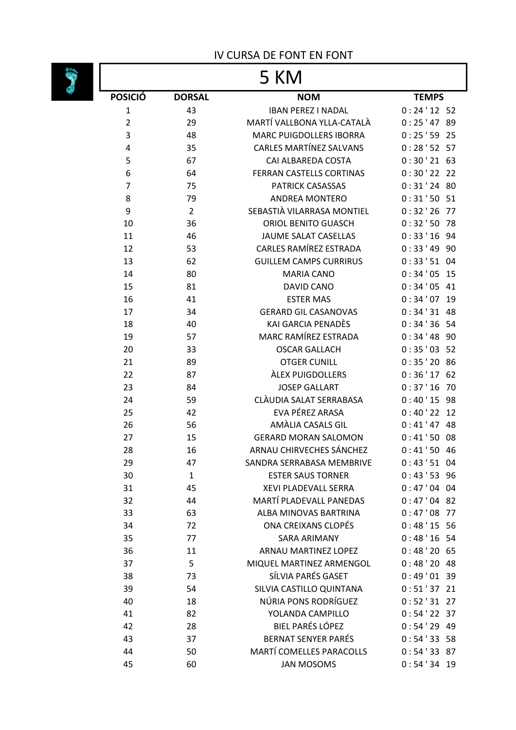## IV CURSA DE FONT EN FONT

## $\begin{array}{c|c}\n\hline\n\end{array}$

| 5 KMI          |                |                                                    |                         |  |
|----------------|----------------|----------------------------------------------------|-------------------------|--|
| <b>POSICIÓ</b> | <b>DORSAL</b>  | <b>NOM</b>                                         | <b>TEMPS</b>            |  |
| $\mathbf{1}$   | 43             | <b>IBAN PEREZ I NADAL</b>                          | $0:24'12$ 52            |  |
| $\overline{2}$ | 29             | MARTÍ VALLBONA YLLA-CATALÀ                         | 0:25'47<br>89           |  |
| 3              | 48             | <b>MARC PUIGDOLLERS IBORRA</b>                     | 0:25'59<br>25           |  |
| 4              | 35             | <b>CARLES MARTÍNEZ SALVANS</b>                     | 0:28'5257               |  |
| 5              | 67             | CAI ALBAREDA COSTA                                 | 0:30'21<br>63           |  |
| 6              | 64             | FERRAN CASTELLS CORTINAS                           | $0:30'22$ 22            |  |
| $\overline{7}$ | 75             | PATRICK CASASSAS                                   | 0:31'24<br>80           |  |
| 8              | 79             | <b>ANDREA MONTERO</b>                              | 0:31'5051               |  |
| 9              | $\overline{2}$ | SEBASTIÀ VILARRASA MONTIEL                         | 0:32'26<br>77           |  |
| 10             | 36             | ORIOL BENITO GUASCH                                | 0:32:50<br>78           |  |
| 11             | 46             | JAUME SALAT CASELLAS                               | 0:33'16<br>94           |  |
| 12             | 53             | CARLES RAMÍREZ ESTRADA                             | 0:33'49<br>90           |  |
| 13             | 62             | <b>GUILLEM CAMPS CURRIRUS</b><br><b>MARIA CANO</b> | $0:33'51$ 04<br>0:34'05 |  |
| 14<br>15       | 80<br>81       | <b>DAVID CANO</b>                                  | 15<br>0:34'05<br>41     |  |
| 16             | 41             | <b>ESTER MAS</b>                                   | 0:34'07<br>19           |  |
| 17             | 34             | <b>GERARD GIL CASANOVAS</b>                        | 0:34'31<br>48           |  |
| 18             | 40             | KAI GARCIA PENADÈS                                 | 0:34'3654               |  |
| 19             | 57             | MARC RAMÍREZ ESTRADA                               | 0:34'48<br>90           |  |
| 20             | 33             | <b>OSCAR GALLACH</b>                               | 0:35'035                |  |
| 21             | 89             | <b>OTGER CUNILL</b>                                | 0:35'20<br>86           |  |
| 22             | 87             | <b>ÀLEX PUIGDOLLERS</b>                            | 0:36'17<br>62           |  |
| 23             | 84             | <b>JOSEP GALLART</b>                               | 0:37'16<br>70           |  |
| 24             | 59             | CLÀUDIA SALAT SERRABASA                            | 0:40'15<br>98           |  |
| 25             | 42             | EVA PÉREZ ARASA                                    | 0:40'22<br>12           |  |
| 26             | 56             | AMÀLIA CASALS GIL                                  | 0:41'47<br>48           |  |
| 27             | 15             | <b>GERARD MORAN SALOMON</b>                        | 0:41'50<br>08           |  |
| 28             | 16             | ARNAU CHIRVECHES SÁNCHEZ                           | 0:41'5046               |  |
| 29             | 47             | SANDRA SERRABASA MEMBRIVE                          | $0:43'51$ 04            |  |
| 30             | 1              | <b>ESTER SAUS TORNER</b>                           | $0:43'53$ 96            |  |
| 31             | 45             | XEVI PLADEVALL SERRA                               | $0:47'04$ 04            |  |
| 32             | 44             | MARTÍ PLADEVALL PANEDAS                            | $0:47'04$ 82            |  |
| 33             | 63             | ALBA MINOVAS BARTRINA                              | 0:47'08<br>77           |  |
| 34             | 72             | ONA CREIXANS CLOPÉS                                | 0:48'15556              |  |
| 35             | 77<br>11       | <b>SARA ARIMANY</b><br><b>ARNAU MARTINEZ LOPEZ</b> | 0:48'1654<br>0:48'20    |  |
| 36             | 5              | MIQUEL MARTINEZ ARMENGOL                           | 65<br>0:48'2048         |  |
| 37<br>38       | 73             | SÍLVIA PARÉS GASET                                 | $0:49'01$ 39            |  |
| 39             | 54             | SILVIA CASTILLO QUINTANA                           | $0:51'37$ 21            |  |
| 40             | 18             | NÚRIA PONS RODRÍGUEZ                               | 0:52'31<br>27           |  |
| 41             | 82             | YOLANDA CAMPILLO                                   | 0:54'22<br>37           |  |
| 42             | 28             | <b>BIEL PARÉS LÓPEZ</b>                            | $0:54'29$ 49            |  |
| 43             | 37             | <b>BERNAT SENYER PARÉS</b>                         | 0:54'33558              |  |
| 44             | 50             | <b>MARTÍ COMELLES PARACOLLS</b>                    | 0:54'3387               |  |
| 45             | 60             | <b>JAN MOSOMS</b>                                  | $0:54'34$ 19            |  |
|                |                |                                                    |                         |  |